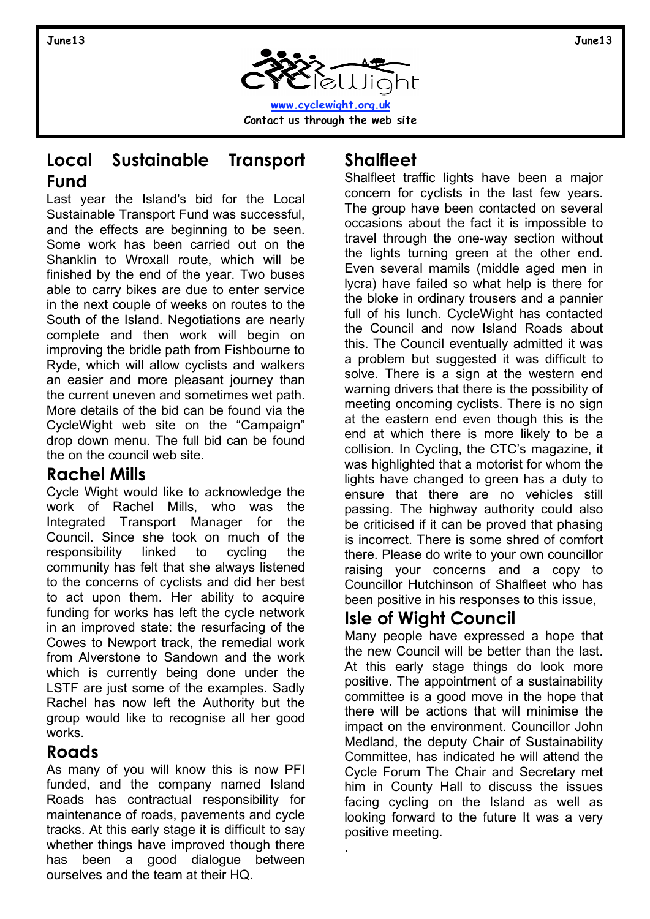

#### **Local Sustainable Transport Fund**

Last year the Island's bid for the Local Sustainable Transport Fund was successful, and the effects are beginning to be seen. Some work has been carried out on the Shanklin to Wroxall route, which will be finished by the end of the year. Two buses able to carry bikes are due to enter service in the next couple of weeks on routes to the South of the Island. Negotiations are nearly complete and then work will begin on improving the bridle path from Fishbourne to Ryde, which will allow cyclists and walkers an easier and more pleasant journey than the current uneven and sometimes wet path. More details of the bid can be found via the CycleWight web site on the "Campaign" drop down menu. The full bid can be found the on the council web site.

#### **Rachel Mills**

Cycle Wight would like to acknowledge the work of Rachel Mills, who was the Integrated Transport Manager for the Council. Since she took on much of the responsibility linked to cycling the community has felt that she always listened to the concerns of cyclists and did her best to act upon them. Her ability to acquire funding for works has left the cycle network in an improved state: the resurfacing of the Cowes to Newport track, the remedial work from Alverstone to Sandown and the work which is currently being done under the LSTF are just some of the examples. Sadly Rachel has now left the Authority but the group would like to recognise all her good works.

#### **Roads**

As many of you will know this is now PFI funded, and the company named Island Roads has contractual responsibility for maintenance of roads, pavements and cycle tracks. At this early stage it is difficult to say whether things have improved though there has been a good dialogue between ourselves and the team at their HQ.

## **Shalfleet**

Shalfleet traffic lights have been a major concern for cyclists in the last few years. The group have been contacted on several occasions about the fact it is impossible to travel through the one-way section without the lights turning green at the other end. Even several mamils (middle aged men in lycra) have failed so what help is there for the bloke in ordinary trousers and a pannier full of his lunch. CycleWight has contacted the Council and now Island Roads about this. The Council eventually admitted it was a problem but suggested it was difficult to solve. There is a sign at the western end warning drivers that there is the possibility of meeting oncoming cyclists. There is no sign at the eastern end even though this is the end at which there is more likely to be a collision. In Cycling, the CTC's magazine, it was highlighted that a motorist for whom the lights have changed to green has a duty to ensure that there are no vehicles still passing. The highway authority could also be criticised if it can be proved that phasing is incorrect. There is some shred of comfort there. Please do write to your own councillor raising your concerns and a copy to Councillor Hutchinson of Shalfleet who has been positive in his responses to this issue,

# **Isle of Wight Council**

.

Many people have expressed a hope that the new Council will be better than the last. At this early stage things do look more positive. The appointment of a sustainability committee is a good move in the hope that there will be actions that will minimise the impact on the environment. Councillor John Medland, the deputy Chair of Sustainability Committee, has indicated he will attend the Cycle Forum The Chair and Secretary met him in County Hall to discuss the issues facing cycling on the Island as well as looking forward to the future It was a very positive meeting.